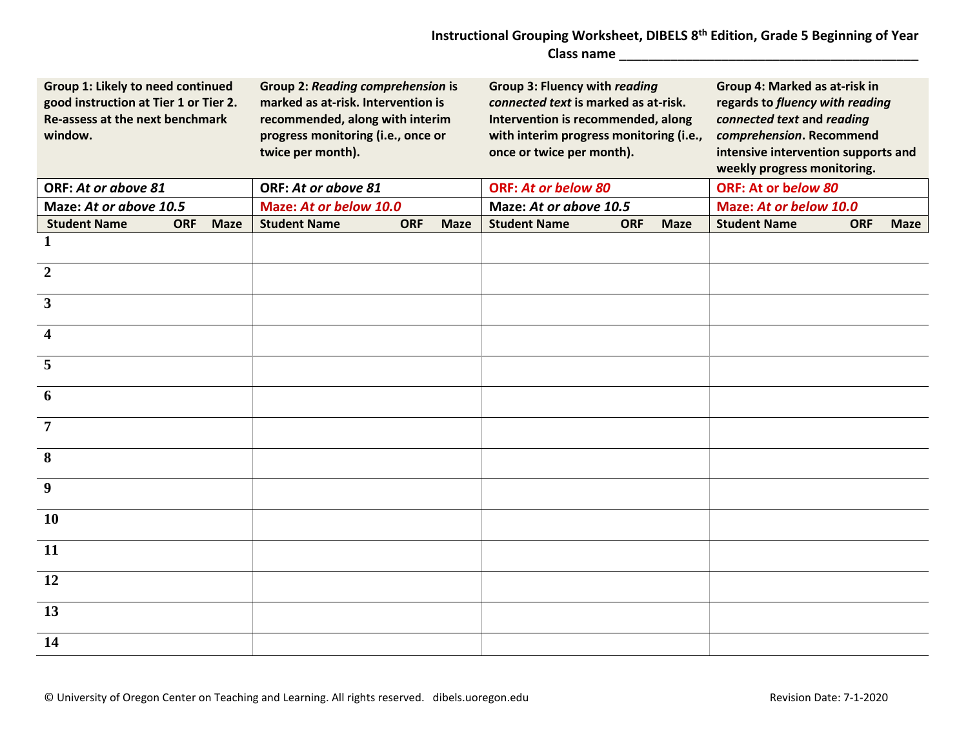## **Instructional Grouping Worksheet, DIBELS 8th Edition, Grade 5 Beginning of Year Class name** \_\_\_\_\_\_\_\_\_\_\_\_\_\_\_\_\_\_\_\_\_\_\_\_\_\_\_\_\_\_\_\_\_\_\_\_\_\_\_\_\_

| Group 1: Likely to need continued<br>good instruction at Tier 1 or Tier 2.<br>Re-assess at the next benchmark<br>window. |            |             | <b>Group 2: Reading comprehension is</b><br>marked as at-risk. Intervention is<br>recommended, along with interim<br>progress monitoring (i.e., once or<br>twice per month). |            |             | <b>Group 3: Fluency with reading</b><br>connected text is marked as at-risk.<br>Intervention is recommended, along<br>with interim progress monitoring (i.e.,<br>once or twice per month). |            |             | Group 4: Marked as at-risk in<br>regards to fluency with reading<br>connected text and reading<br>comprehension. Recommend<br>intensive intervention supports and<br>weekly progress monitoring. |            |             |
|--------------------------------------------------------------------------------------------------------------------------|------------|-------------|------------------------------------------------------------------------------------------------------------------------------------------------------------------------------|------------|-------------|--------------------------------------------------------------------------------------------------------------------------------------------------------------------------------------------|------------|-------------|--------------------------------------------------------------------------------------------------------------------------------------------------------------------------------------------------|------------|-------------|
| ORF: At or above 81                                                                                                      |            |             | ORF: At or above 81                                                                                                                                                          |            |             | <b>ORF: At or below 80</b>                                                                                                                                                                 |            |             | ORF: At or below 80                                                                                                                                                                              |            |             |
| Maze: At or above 10.5                                                                                                   |            |             | Maze: At or below 10.0                                                                                                                                                       |            |             | Maze: At or above 10.5                                                                                                                                                                     |            |             | Maze: At or below 10.0                                                                                                                                                                           |            |             |
| <b>Student Name</b>                                                                                                      | <b>ORF</b> | <b>Maze</b> | <b>Student Name</b>                                                                                                                                                          | <b>ORF</b> | <b>Maze</b> | <b>Student Name</b>                                                                                                                                                                        | <b>ORF</b> | <b>Maze</b> | <b>Student Name</b>                                                                                                                                                                              | <b>ORF</b> | <b>Maze</b> |
| 1                                                                                                                        |            |             |                                                                                                                                                                              |            |             |                                                                                                                                                                                            |            |             |                                                                                                                                                                                                  |            |             |
| $\overline{2}$                                                                                                           |            |             |                                                                                                                                                                              |            |             |                                                                                                                                                                                            |            |             |                                                                                                                                                                                                  |            |             |
| $\mathbf{3}$                                                                                                             |            |             |                                                                                                                                                                              |            |             |                                                                                                                                                                                            |            |             |                                                                                                                                                                                                  |            |             |
| 4                                                                                                                        |            |             |                                                                                                                                                                              |            |             |                                                                                                                                                                                            |            |             |                                                                                                                                                                                                  |            |             |
| 5                                                                                                                        |            |             |                                                                                                                                                                              |            |             |                                                                                                                                                                                            |            |             |                                                                                                                                                                                                  |            |             |
| 6                                                                                                                        |            |             |                                                                                                                                                                              |            |             |                                                                                                                                                                                            |            |             |                                                                                                                                                                                                  |            |             |
| $\overline{7}$                                                                                                           |            |             |                                                                                                                                                                              |            |             |                                                                                                                                                                                            |            |             |                                                                                                                                                                                                  |            |             |
| 8                                                                                                                        |            |             |                                                                                                                                                                              |            |             |                                                                                                                                                                                            |            |             |                                                                                                                                                                                                  |            |             |
| 9                                                                                                                        |            |             |                                                                                                                                                                              |            |             |                                                                                                                                                                                            |            |             |                                                                                                                                                                                                  |            |             |
| <b>10</b>                                                                                                                |            |             |                                                                                                                                                                              |            |             |                                                                                                                                                                                            |            |             |                                                                                                                                                                                                  |            |             |
| <b>11</b>                                                                                                                |            |             |                                                                                                                                                                              |            |             |                                                                                                                                                                                            |            |             |                                                                                                                                                                                                  |            |             |
| 12                                                                                                                       |            |             |                                                                                                                                                                              |            |             |                                                                                                                                                                                            |            |             |                                                                                                                                                                                                  |            |             |
| 13                                                                                                                       |            |             |                                                                                                                                                                              |            |             |                                                                                                                                                                                            |            |             |                                                                                                                                                                                                  |            |             |
| 14                                                                                                                       |            |             |                                                                                                                                                                              |            |             |                                                                                                                                                                                            |            |             |                                                                                                                                                                                                  |            |             |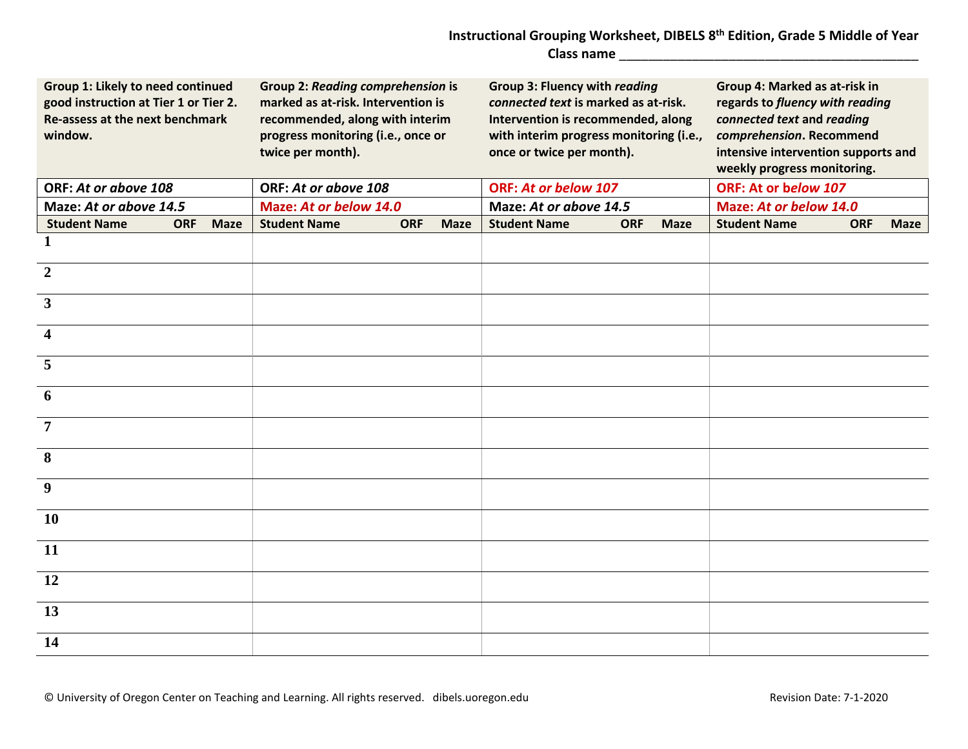## **Instructional Grouping Worksheet, DIBELS 8th Edition, Grade 5 Middle of Year Class name** \_\_\_\_\_\_\_\_\_\_\_\_\_\_\_\_\_\_\_\_\_\_\_\_\_\_\_\_\_\_\_\_\_\_\_\_\_\_\_\_\_

| Group 1: Likely to need continued<br>good instruction at Tier 1 or Tier 2.<br>Re-assess at the next benchmark<br>window. |            |             | <b>Group 2: Reading comprehension is</b><br>marked as at-risk. Intervention is<br>recommended, along with interim<br>progress monitoring (i.e., once or<br>twice per month). |            |             | <b>Group 3: Fluency with reading</b><br>connected text is marked as at-risk.<br>Intervention is recommended, along<br>with interim progress monitoring (i.e.,<br>once or twice per month). |            |             | Group 4: Marked as at-risk in<br>regards to fluency with reading<br>connected text and reading<br>comprehension. Recommend<br>intensive intervention supports and<br>weekly progress monitoring. |            |             |  |
|--------------------------------------------------------------------------------------------------------------------------|------------|-------------|------------------------------------------------------------------------------------------------------------------------------------------------------------------------------|------------|-------------|--------------------------------------------------------------------------------------------------------------------------------------------------------------------------------------------|------------|-------------|--------------------------------------------------------------------------------------------------------------------------------------------------------------------------------------------------|------------|-------------|--|
| ORF: At or above 108                                                                                                     |            |             | ORF: At or above 108                                                                                                                                                         |            |             | <b>ORF: At or below 107</b>                                                                                                                                                                |            |             | ORF: At or below 107                                                                                                                                                                             |            |             |  |
| Maze: At or above 14.5                                                                                                   |            |             | Maze: At or below 14.0                                                                                                                                                       |            |             | Maze: At or above 14.5                                                                                                                                                                     |            |             | Maze: At or below 14.0                                                                                                                                                                           |            |             |  |
| <b>Student Name</b>                                                                                                      | <b>ORF</b> | <b>Maze</b> | <b>Student Name</b>                                                                                                                                                          | <b>ORF</b> | <b>Maze</b> | <b>Student Name</b>                                                                                                                                                                        | <b>ORF</b> | <b>Maze</b> | <b>Student Name</b>                                                                                                                                                                              | <b>ORF</b> | <b>Maze</b> |  |
| 1                                                                                                                        |            |             |                                                                                                                                                                              |            |             |                                                                                                                                                                                            |            |             |                                                                                                                                                                                                  |            |             |  |
| $\overline{2}$                                                                                                           |            |             |                                                                                                                                                                              |            |             |                                                                                                                                                                                            |            |             |                                                                                                                                                                                                  |            |             |  |
| $\mathbf{3}$                                                                                                             |            |             |                                                                                                                                                                              |            |             |                                                                                                                                                                                            |            |             |                                                                                                                                                                                                  |            |             |  |
| $\overline{\mathbf{4}}$                                                                                                  |            |             |                                                                                                                                                                              |            |             |                                                                                                                                                                                            |            |             |                                                                                                                                                                                                  |            |             |  |
| 5                                                                                                                        |            |             |                                                                                                                                                                              |            |             |                                                                                                                                                                                            |            |             |                                                                                                                                                                                                  |            |             |  |
| 6                                                                                                                        |            |             |                                                                                                                                                                              |            |             |                                                                                                                                                                                            |            |             |                                                                                                                                                                                                  |            |             |  |
| 7                                                                                                                        |            |             |                                                                                                                                                                              |            |             |                                                                                                                                                                                            |            |             |                                                                                                                                                                                                  |            |             |  |
| 8                                                                                                                        |            |             |                                                                                                                                                                              |            |             |                                                                                                                                                                                            |            |             |                                                                                                                                                                                                  |            |             |  |
| 9                                                                                                                        |            |             |                                                                                                                                                                              |            |             |                                                                                                                                                                                            |            |             |                                                                                                                                                                                                  |            |             |  |
| <b>10</b>                                                                                                                |            |             |                                                                                                                                                                              |            |             |                                                                                                                                                                                            |            |             |                                                                                                                                                                                                  |            |             |  |
| 11                                                                                                                       |            |             |                                                                                                                                                                              |            |             |                                                                                                                                                                                            |            |             |                                                                                                                                                                                                  |            |             |  |
| 12                                                                                                                       |            |             |                                                                                                                                                                              |            |             |                                                                                                                                                                                            |            |             |                                                                                                                                                                                                  |            |             |  |
| 13                                                                                                                       |            |             |                                                                                                                                                                              |            |             |                                                                                                                                                                                            |            |             |                                                                                                                                                                                                  |            |             |  |
| 14                                                                                                                       |            |             |                                                                                                                                                                              |            |             |                                                                                                                                                                                            |            |             |                                                                                                                                                                                                  |            |             |  |